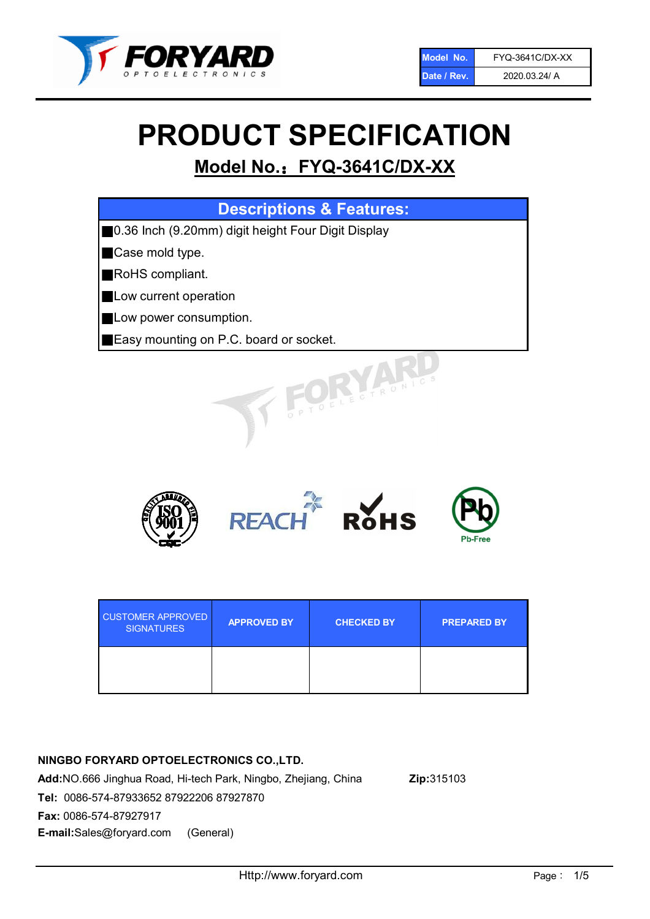

# PRODUCT SPECIFICATION

# Model No.: FYQ-3641C/DX-XX

| <b>Descriptions &amp; Features:</b>                |
|----------------------------------------------------|
| 0.36 Inch (9.20mm) digit height Four Digit Display |
| Case mold type.                                    |
| RoHS compliant.                                    |
| Low current operation                              |
| Low power consumption.                             |
| Easy mounting on P.C. board or socket.             |
| TOELE OTRONIC                                      |



| <b>CUSTOMER APPROVED</b><br><b>SIGNATURES</b> | <b>APPROVED BY</b> | <b>CHECKED BY</b> | <b>PREPARED BY</b> |
|-----------------------------------------------|--------------------|-------------------|--------------------|
|                                               |                    |                   |                    |

# NINGBO FORYARD OPTOELECTRONICS CO.,LTD.

Add:NO.666 Jinghua Road, Hi-tech Park, Ningbo, Zhejiang, China Zip:315103 Tel: 0086-574-87933652 87922206 87927870 Fax: 0086-574-87927917 E-mail:Sales@foryard.com (General)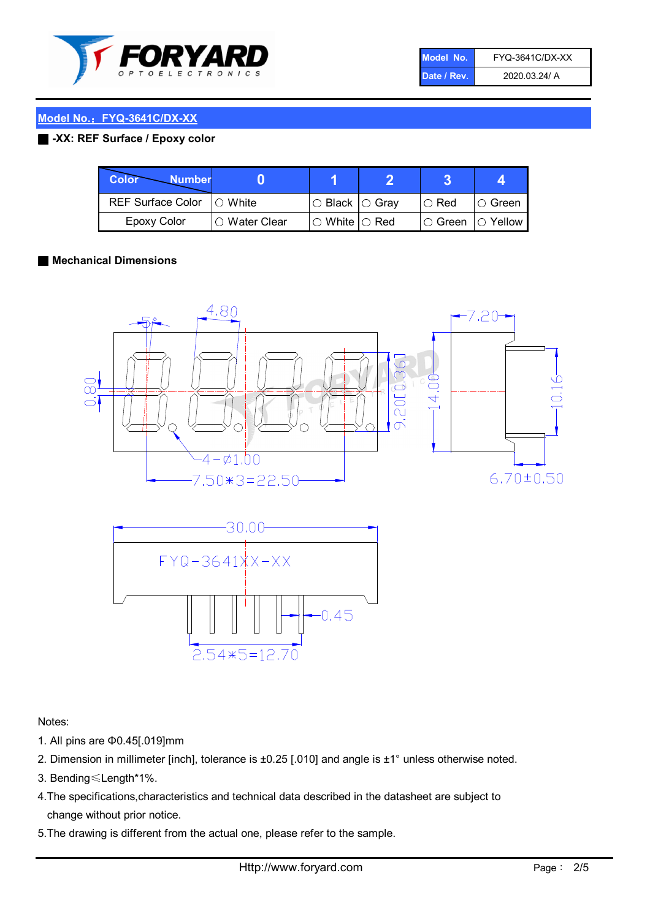

| Model No.   | <b>FYQ-3641C/DX-XX</b> |
|-------------|------------------------|
| Date / Rev. | 2020.03.24/ A          |

#### Model No.: FYQ-3641C/DX-XX

#### ■ -XX: REF Surface / Epoxy color

| Color<br><b>Number</b>      |                        |                            |          |                |
|-----------------------------|------------------------|----------------------------|----------|----------------|
| REF Surface Color   O White |                        | $\circ$ Black $\circ$ Gray | I⊖ Red   | ∣O Green       |
| Epoxy Color                 | $\bigcirc$ Water Clear | $\circ$ White $\circ$ Red  | I⊖ Green | $\circ$ Yellow |

#### ■ Mechanical Dimensions





Notes:

- 1. All pins are Φ0.45[.019]mm
- 2. Dimension in millimeter [inch], tolerance is ±0.25 [.010] and angle is ±1° unless otherwise noted.
- 3. Bending≤Length\*1%.
- 4.The specifications,characteristics and technical data described in the datasheet are subject to change without prior notice.
- 5.The drawing is different from the actual one, please refer to the sample.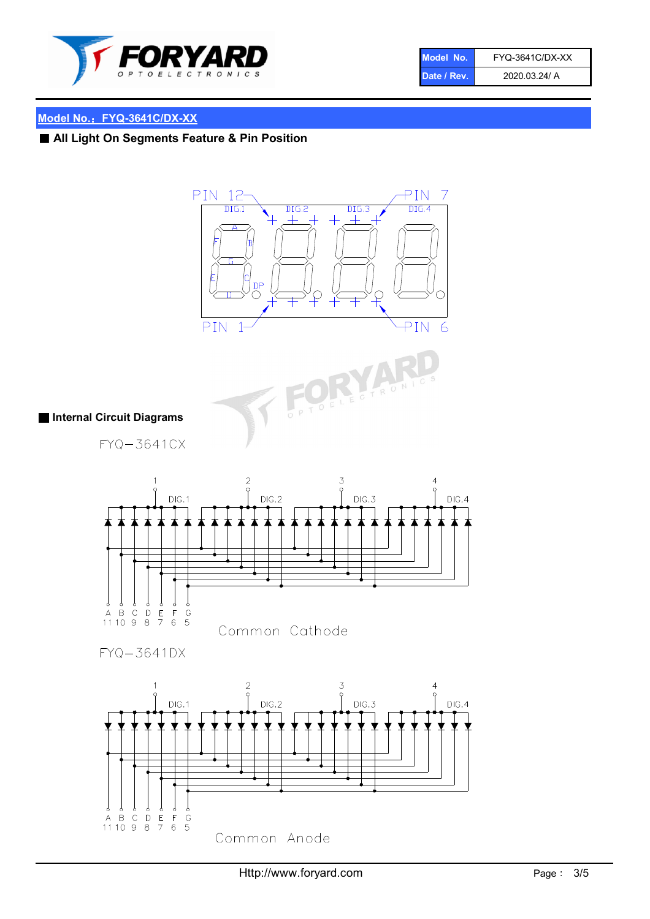

| Model No.   | FYQ-3641C/DX-XX |
|-------------|-----------------|
| Date / Rev. | 2020.03.24/ A   |

# Model No.: FYQ-3641C/DX-XX

■ All Light On Segments Feature & Pin Position





## ■ Internal Circuit Diagrams

FYQ-3641CX



 $FYQ - 3641DX$ 

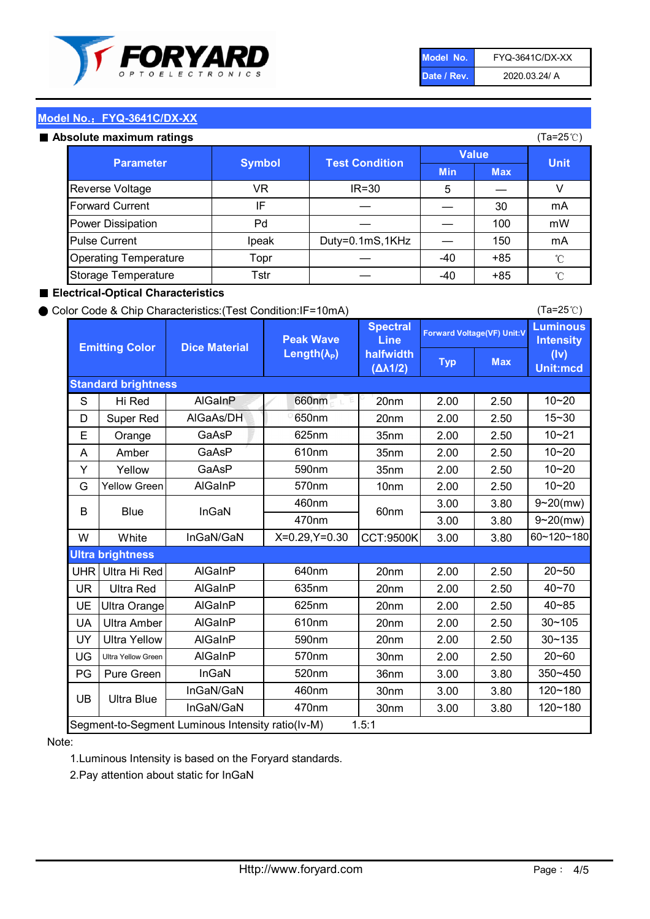

| Model No.   | <b>FYQ-3641C/DX-XX</b> |
|-------------|------------------------|
| Date / Rev. | 2020.03.24/ A          |

(Ta=25℃)

#### Model No.: FYQ-3641C/DX-XX

#### Absolute maximum

| solute maximum ratings       |               |                       |              |            | (Ta=25℃)    |
|------------------------------|---------------|-----------------------|--------------|------------|-------------|
| <b>Parameter</b>             | <b>Symbol</b> | <b>Test Condition</b> | <b>Value</b> |            |             |
|                              |               |                       | <b>Min</b>   | <b>Max</b> | <b>Unit</b> |
| Reverse Voltage              | VR            | $IR = 30$             | 5            |            |             |
| <b>Forward Current</b>       | IF            |                       |              | 30         | mA          |
| Power Dissipation            | Pd            |                       |              | 100        | mW          |
| <b>Pulse Current</b>         | Ipeak         | Duty=0.1mS,1KHz       |              | 150        | mA          |
| <b>Operating Temperature</b> | Topr          |                       | $-40$        | $+85$      | °C          |
| Storage Temperature          | Tstr          |                       | -40          | $+85$      | °C          |

#### ■ Electrical-Optical Characteristics

#### ● Color Code & Chip Characteristics:(Test Condition:IF=10mA)

Typ Max S | Hi $\textsf{Red}$  | AlGaInP | 660nm LE 20nm | 2.00 | 2.50 D | Super Red | AIGaAs/DH | 650nm | 20nm | 2.00 | 2.50 E | Orange | GaAsP | 625nm | 35nm | 2.00 | 2.50 A | Amber | GaAsP | 610nm | 35nm | 2.00 | 2.50 Y | Yellow | GaAsP | 590nm | 35nm | 2.00 | 2.50 G Yellow Green AIGaInP | 570nm | 10nm | 2.00 | 2.50 3.00 3.80 3.00 3.80 W | White | InGaN/GaN | X=0.29,Y=0.30 |CCT:9500K| 3.00 | 3.80 UHR Ultra Hi Red  $\vert$  AIGaInP  $\vert$  640nm  $\vert$  20nm  $\vert$  2.00  $\vert$  2.50 UR | Ultra Red | AlGaInP | 635nm | 20nm | 2.00 | 2.50 UE Ultra Orange | AIGaInP | 625nm | 20nm | 2.00 | 2.50 UA Ultra Amber | AIGaInP | 610nm | 20nm | 2.00 | 2.50  $UV$  Ultra Yellow  $\vert$  AlGaInP  $\vert$  590nm  $\vert$  20nm  $\vert$  2.00  $\vert$  2.50  $\text{UG}$  Ultra Yellow Green | AIGaInP | 570nm | 30nm | 2.00 | 2.50 PG | Pure Green | InGaN | 520nm | 36nm | 3.00 | 3.80 30nm 3.00 3.80 30nm 3.00 3.80 40~85 60~120~180 40~70 Segment-to-Segment Luminous Intensity ratio(Iv-M) 1.5:1 610nm 9~20(mw) 350~450 470nm 120~180 120~180 Ultra Blue InGaN/GaN 9~20(mw) 20~50 570nm | 30nm | 2.00 | 2.50 | 20~60 470nm 590nm InGaN/GaN B Blue I InGaN 570nm | 10nm | 2.00 | 2.50 | 10~20 30~105 30~135 460nm 520nm Ultra brightness **AlGaInP** AlGaInP 60nm AlGaInP 640nm Peak Wave Length $(\lambda_{\rm P})$ UB 460nm 635nm AlGaInP AlGaInP AlGaInP InGaN/GaN AlGaInP 10~20 Luminous **Intensity** (Iv) Unit:mcd AlGainP 660nm GaAsP GaAsP AlGaAs/DH **Spectral** Line halfwidth (∆λ1/2) 10~20 Standard brightness Forward Voltage(VF) Unit:V 15~30 10~20 625nm GaAsP 590nm **Emitting Color Dice Material** 10~21 610nm

#### Note:

1.Luminous Intensity is based on the Foryard standards.

2.Pay attention about static for InGaN